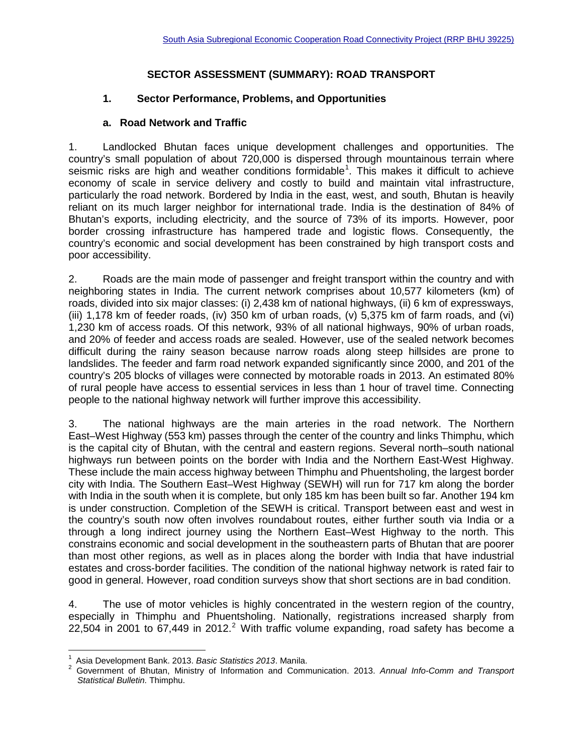## **SECTOR ASSESSMENT (SUMMARY): ROAD TRANSPORT**

#### **1. Sector Performance, Problems, and Opportunities**

#### **a. Road Network and Traffic**

1. Landlocked Bhutan faces unique development challenges and opportunities. The country's small population of about 720,000 is dispersed through mountainous terrain where seismic risks are high and weather conditions formidable<sup>[1](#page-0-0)</sup>. This makes it difficult to achieve economy of scale in service delivery and costly to build and maintain vital infrastructure, particularly the road network. Bordered by India in the east, west, and south, Bhutan is heavily reliant on its much larger neighbor for international trade. India is the destination of 84% of Bhutan's exports, including electricity, and the source of 73% of its imports. However, poor border crossing infrastructure has hampered trade and logistic flows. Consequently, the country's economic and social development has been constrained by high transport costs and poor accessibility.

2. Roads are the main mode of passenger and freight transport within the country and with neighboring states in India. The current network comprises about 10,577 kilometers (km) of roads, divided into six major classes: (i) 2,438 km of national highways, (ii) 6 km of expressways, (iii) 1,178 km of feeder roads, (iv) 350 km of urban roads, (v) 5,375 km of farm roads, and (vi) 1,230 km of access roads. Of this network, 93% of all national highways, 90% of urban roads, and 20% of feeder and access roads are sealed. However, use of the sealed network becomes difficult during the rainy season because narrow roads along steep hillsides are prone to landslides. The feeder and farm road network expanded significantly since 2000, and 201 of the country's 205 blocks of villages were connected by motorable roads in 2013. An estimated 80% of rural people have access to essential services in less than 1 hour of travel time. Connecting people to the national highway network will further improve this accessibility.

3. The national highways are the main arteries in the road network. The Northern East–West Highway (553 km) passes through the center of the country and links Thimphu, which is the capital city of Bhutan, with the central and eastern regions. Several north–south national highways run between points on the border with India and the Northern East-West Highway. These include the main access highway between Thimphu and Phuentsholing, the largest border city with India. The Southern East–West Highway (SEWH) will run for 717 km along the border with India in the south when it is complete, but only 185 km has been built so far. Another 194 km is under construction. Completion of the SEWH is critical. Transport between east and west in the country's south now often involves roundabout routes, either further south via India or a through a long indirect journey using the Northern East–West Highway to the north. This constrains economic and social development in the southeastern parts of Bhutan that are poorer than most other regions, as well as in places along the border with India that have industrial estates and cross-border facilities. The condition of the national highway network is rated fair to good in general. However, road condition surveys show that short sections are in bad condition.

4. The use of motor vehicles is highly concentrated in the western region of the country, especially in Thimphu and Phuentsholing. Nationally, registrations increased sharply from [2](#page-0-1)2,504 in 2001 to 67,449 in 2012.<sup>2</sup> With traffic volume expanding, road safety has become a

 $\overline{1}$ 

<span id="page-0-1"></span><span id="page-0-0"></span><sup>&</sup>lt;sup>1</sup> Asia Development Bank. 2013. *Basic Statistics 2013*. Manila.<br><sup>2</sup> Government of Bhutan, Ministry of Information and Communication. 2013. *Annual Info-Comm and Transport Statistical Bulletin.* Thimphu.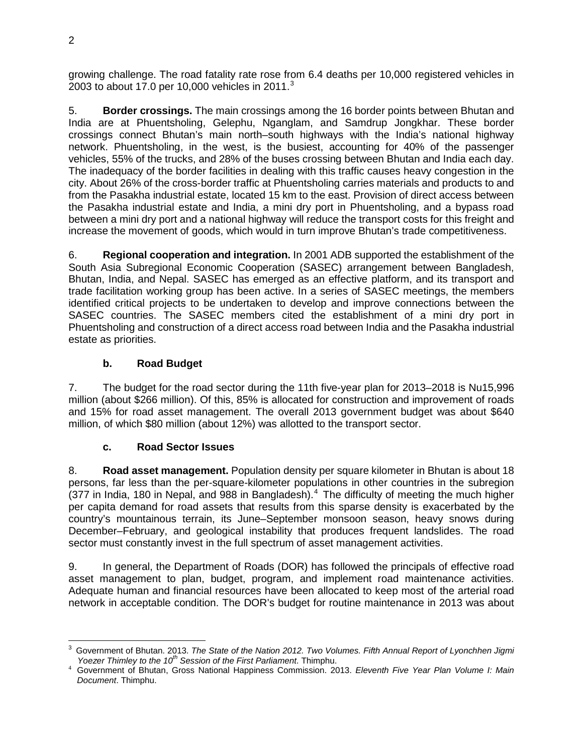growing challenge. The road fatality rate rose from 6.4 deaths per 10,000 registered vehicles in 200[3](#page-1-0) to about 17.0 per 10,000 vehicles in 2011. $3$ 

5. **Border crossings.** The main crossings among the 16 border points between Bhutan and India are at Phuentsholing, Gelephu, Nganglam, and Samdrup Jongkhar. These border crossings connect Bhutan's main north–south highways with the India's national highway network. Phuentsholing, in the west, is the busiest, accounting for 40% of the passenger vehicles, 55% of the trucks, and 28% of the buses crossing between Bhutan and India each day. The inadequacy of the border facilities in dealing with this traffic causes heavy congestion in the city. About 26% of the cross-border traffic at Phuentsholing carries materials and products to and from the Pasakha industrial estate, located 15 km to the east. Provision of direct access between the Pasakha industrial estate and India, a mini dry port in Phuentsholing, and a bypass road between a mini dry port and a national highway will reduce the transport costs for this freight and increase the movement of goods, which would in turn improve Bhutan's trade competitiveness.

6. **Regional cooperation and integration.** In 2001 ADB supported the establishment of the South Asia Subregional Economic Cooperation (SASEC) arrangement between Bangladesh, Bhutan, India, and Nepal. SASEC has emerged as an effective platform, and its transport and trade facilitation working group has been active. In a series of SASEC meetings, the members identified critical projects to be undertaken to develop and improve connections between the SASEC countries. The SASEC members cited the establishment of a mini dry port in Phuentsholing and construction of a direct access road between India and the Pasakha industrial estate as priorities.

## **b. Road Budget**

7. The budget for the road sector during the 11th five-year plan for 2013–2018 is Nu15,996 million (about \$266 million). Of this, 85% is allocated for construction and improvement of roads and 15% for road asset management. The overall 2013 government budget was about \$640 million, of which \$80 million (about 12%) was allotted to the transport sector.

## **c. Road Sector Issues**

8. **Road asset management.** Population density per square kilometer in Bhutan is about 18 persons, far less than the per-square-kilometer populations in other countries in the subregion  $(377)$  in India, 180 in Nepal, and 988 in Bangladesh).<sup>[4](#page-1-1)</sup> The difficulty of meeting the much higher per capita demand for road assets that results from this sparse density is exacerbated by the country's mountainous terrain, its June–September monsoon season, heavy snows during December–February, and geological instability that produces frequent landslides. The road sector must constantly invest in the full spectrum of asset management activities.

9. In general, the Department of Roads (DOR) has followed the principals of effective road asset management to plan, budget, program, and implement road maintenance activities. Adequate human and financial resources have been allocated to keep most of the arterial road network in acceptable condition. The DOR's budget for routine maintenance in 2013 was about

<span id="page-1-0"></span><sup>3</sup> Government of Bhutan. 2013. *The State of the Nation 2012. Two Volumes. Fifth Annual Report of Lyonchhen Jigmi Yoezer Thimley to the 10th Session of the First Parliament*. Thimphu. <sup>4</sup> Government of Bhutan, Gross National Happiness Commission. 2013. *Eleventh Five Year Plan Volume I: Main*   $\overline{\phantom{a}}$ 

<span id="page-1-1"></span>*Document*. Thimphu.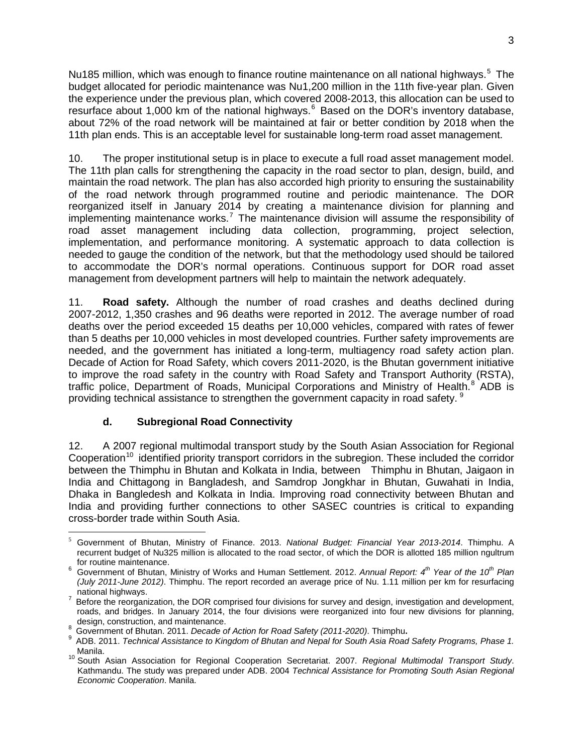Nu18[5](#page-2-0) million, which was enough to finance routine maintenance on all national highways.<sup>5</sup> The budget allocated for periodic maintenance was Nu1,200 million in the 11th five-year plan. Given the experience under the previous plan, which covered 2008-2013, this allocation can be used to resurface about 1,000 km of the national highways.<sup>[6](#page-2-1)</sup> Based on the DOR's inventory database, about 72% of the road network will be maintained at fair or better condition by 2018 when the 11th plan ends. This is an acceptable level for sustainable long-term road asset management.

10. The proper institutional setup is in place to execute a full road asset management model. The 11th plan calls for strengthening the capacity in the road sector to plan, design, build, and maintain the road network. The plan has also accorded high priority to ensuring the sustainability of the road network through programmed routine and periodic maintenance. The DOR reorganized itself in January 2014 by creating a maintenance division for planning and implementing maintenance works.<sup>[7](#page-2-2)</sup> The maintenance division will assume the responsibility of road asset management including data collection, programming, project selection, implementation, and performance monitoring. A systematic approach to data collection is needed to gauge the condition of the network, but that the methodology used should be tailored to accommodate the DOR's normal operations. Continuous support for DOR road asset management from development partners will help to maintain the network adequately.

11. **Road safety.** Although the number of road crashes and deaths declined during 2007-2012, 1,350 crashes and 96 deaths were reported in 2012. The average number of road deaths over the period exceeded 15 deaths per 10,000 vehicles, compared with rates of fewer than 5 deaths per 10,000 vehicles in most developed countries. Further safety improvements are needed, and the government has initiated a long-term, multiagency road safety action plan. Decade of Action for Road Safety, which covers 2011-2020, is the Bhutan government initiative to improve the road safety in the country with Road Safety and Transport Authority (RSTA), traffic police, Department of Roads, Municipal Corporations and Ministry of Health.<sup>[8](#page-2-3)</sup> ADB is providing technical assistance to strengthen the government capacity in road safety. <sup>[9](#page-2-4)</sup>

## **d. Subregional Road Connectivity**

12. A 2007 regional multimodal transport study by the South Asian Association for Regional Cooperation<sup>[10](#page-2-5)</sup> identified priority transport corridors in the subregion. These included the corridor between the Thimphu in Bhutan and Kolkata in India, between Thimphu in Bhutan, Jaigaon in India and Chittagong in Bangladesh, and Samdrop Jongkhar in Bhutan, Guwahati in India, Dhaka in Bangledesh and Kolkata in India. Improving road connectivity between Bhutan and India and providing further connections to other SASEC countries is critical to expanding cross-border trade within South Asia.

<span id="page-2-0"></span><sup>5</sup> Government of Bhutan, Ministry of Finance. 2013. *National Budget: Financial Year 2013-2014*. Thimphu. A recurrent budget of Nu325 million is allocated to the road sector, of which the DOR is allotted 185 million ngultrum<br>for routine maintenance.  $\overline{a}$ 

<span id="page-2-1"></span>for routine maintenance. <sup>6</sup> Government of Bhutan, Ministry of Works and Human Settlement. 2012. *Annual Report: 4th Year of the 10th Plan (July 2011-June 2012)*. Thimphu. The report recorded an average price of Nu. 1.11 million per km for resurfacing

<span id="page-2-2"></span><sup>&</sup>lt;sup>7</sup> Before the reorganization, the DOR comprised four divisions for survey and design, investigation and development, roads, and bridges. In January 2014, the four divisions were reorganized into four new divisions for planning, design, construction, and maintenance.

<span id="page-2-4"></span><span id="page-2-3"></span><sup>8&</sup>lt;br>
Government of Bhutan. 2011. Decade of Action for Road Safety (2011-2020). Thimphu.<br>
9 ADB. 2011. Technical Assistance to Kingdom of Bhutan and Nepal for South Asia Road Safety Programs, Phase 1.<br>
Manila.

<span id="page-2-5"></span><sup>&</sup>lt;sup>10</sup> South Asian Association for Regional Cooperation Secretariat. 2007. *Regional Multimodal Transport Study*. Kathmandu. The study was prepared under ADB. 2004 *Technical Assistance for Promoting South Asian Regional Economic Cooperation*. Manila.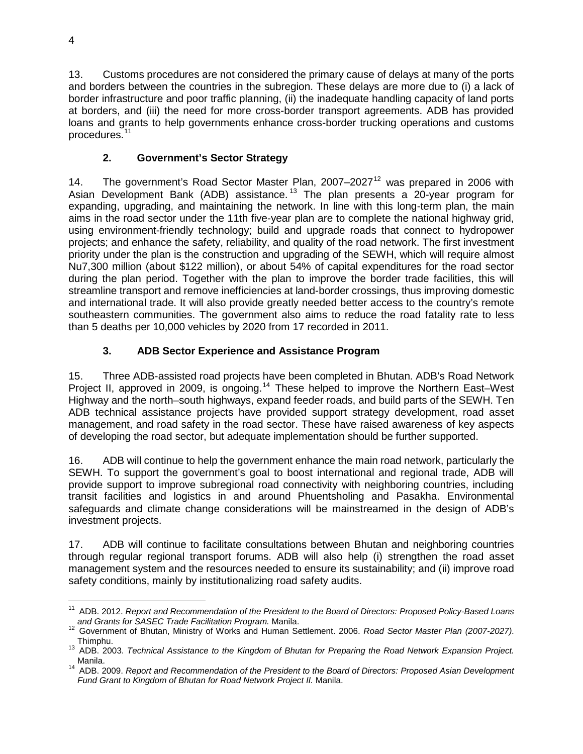13. Customs procedures are not considered the primary cause of delays at many of the ports and borders between the countries in the subregion. These delays are more due to (i) a lack of border infrastructure and poor traffic planning, (ii) the inadequate handling capacity of land ports at borders, and (iii) the need for more cross-border transport agreements. ADB has provided loans and grants to help governments enhance cross-border trucking operations and customs procedures. [11](#page-3-0)

# **2. Government's Sector Strategy**

14. The government's Road Sector Master Plan,  $2007-2027<sup>12</sup>$  $2007-2027<sup>12</sup>$  $2007-2027<sup>12</sup>$  was prepared in 2006 with Asian Development Bank (ADB) assistance.<sup>[13](#page-3-2)</sup> The plan presents a 20-year program for expanding, upgrading, and maintaining the network. In line with this long-term plan, the main aims in the road sector under the 11th five-year plan are to complete the national highway grid, using environment-friendly technology; build and upgrade roads that connect to hydropower projects; and enhance the safety, reliability, and quality of the road network. The first investment priority under the plan is the construction and upgrading of the SEWH, which will require almost Nu7,300 million (about \$122 million), or about 54% of capital expenditures for the road sector during the plan period. Together with the plan to improve the border trade facilities, this will streamline transport and remove inefficiencies at land-border crossings, thus improving domestic and international trade. It will also provide greatly needed better access to the country's remote southeastern communities. The government also aims to reduce the road fatality rate to less than 5 deaths per 10,000 vehicles by 2020 from 17 recorded in 2011.

# **3. ADB Sector Experience and Assistance Program**

15. Three ADB-assisted road projects have been completed in Bhutan. ADB's Road Network Project II, approved in 2009, is ongoing.<sup>[14](#page-3-3)</sup> These helped to improve the Northern East-West Highway and the north–south highways, expand feeder roads, and build parts of the SEWH. Ten ADB technical assistance projects have provided support strategy development, road asset management, and road safety in the road sector. These have raised awareness of key aspects of developing the road sector, but adequate implementation should be further supported.

16. ADB will continue to help the government enhance the main road network, particularly the SEWH. To support the government's goal to boost international and regional trade, ADB will provide support to improve subregional road connectivity with neighboring countries, including transit facilities and logistics in and around Phuentsholing and Pasakha. Environmental safeguards and climate change considerations will be mainstreamed in the design of ADB's investment projects.

17. ADB will continue to facilitate consultations between Bhutan and neighboring countries through regular regional transport forums. ADB will also help (i) strengthen the road asset management system and the resources needed to ensure its sustainability; and (ii) improve road safety conditions, mainly by institutionalizing road safety audits.

<sup>11</sup> ADB. 2012. *Report and Recommendation of the President to the Board of Directors: Proposed Policy-Based Loans*   $\overline{1}$ 

<span id="page-3-1"></span><span id="page-3-0"></span>*and Grants for SASEC Trade Facilitation Program.* Manila. <sup>12</sup> Government of Bhutan, Ministry of Works and Human Settlement. 2006. *Road Sector Master Plan (2007-2027)*.

<span id="page-3-2"></span><sup>&</sup>lt;sup>13</sup> ADB. 2003. *Technical Assistance to the Kingdom of Bhutan for Preparing the Road Network Expansion Project.* Manila. <sup>14</sup> ADB. 2009. *Report and Recommendation of the President to the Board of Directors: Proposed Asian Development* 

<span id="page-3-3"></span>*Fund Grant to Kingdom of Bhutan for Road Network Project II.* Manila.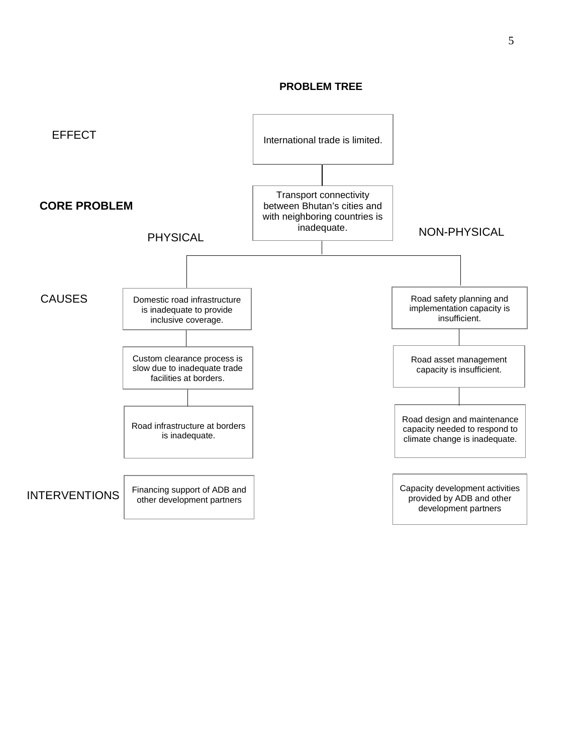#### **PROBLEM TREE**